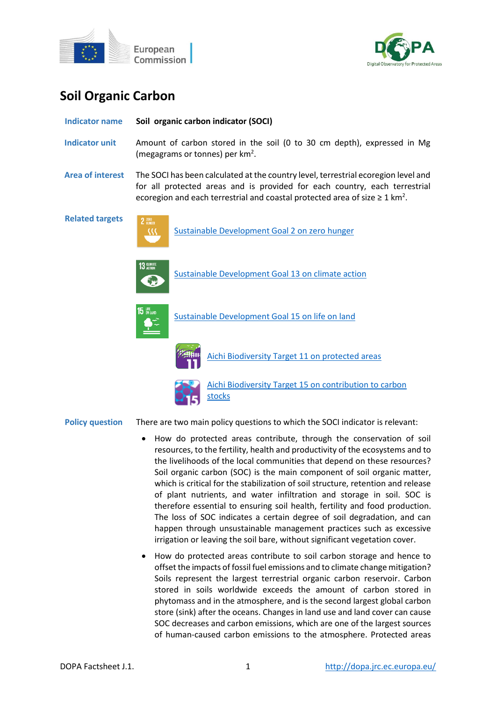



# **Soil Organic Carbon**

| <b>Indicator name</b>   | Soil organic carbon indicator (SOCI)                                                                                                                                                                                                                             |
|-------------------------|------------------------------------------------------------------------------------------------------------------------------------------------------------------------------------------------------------------------------------------------------------------|
| <b>Indicator unit</b>   | Amount of carbon stored in the soil (0 to 30 cm depth), expressed in Mg<br>(megagrams or tonnes) per $km^2$ .                                                                                                                                                    |
| <b>Area of interest</b> | The SOCI has been calculated at the country level, terrestrial ecoregion level and<br>for all protected areas and is provided for each country, each terrestrial<br>ecoregion and each terrestrial and coastal protected area of size $\geq 1$ km <sup>2</sup> . |
| <b>Related targets</b>  | 2 ZERO<br>Sustainable Development Goal 2 on zero hunger<br>32                                                                                                                                                                                                    |
|                         | 13 GLIMATE<br>Sustainable Development Goal 13 on climate action                                                                                                                                                                                                  |
|                         | $15$ on land<br>Sustainable Development Goal 15 on life on land                                                                                                                                                                                                  |
|                         | Aichi Biodiversity Target 11 on protected areas                                                                                                                                                                                                                  |
|                         | Aichi Biodiversity Target 15 on contribution to carbon<br>stocks                                                                                                                                                                                                 |

**Policy question** There are two main policy questions to which the SOCI indicator is relevant:

- How do protected areas contribute, through the conservation of soil resources, to the fertility, health and productivity of the ecosystems and to the livelihoods of the local communities that depend on these resources? Soil organic carbon (SOC) is the main component of soil organic matter, which is critical for the stabilization of soil structure, retention and release of plant nutrients, and water infiltration and storage in soil. SOC is therefore essential to ensuring soil health, fertility and food production. The loss of SOC indicates a certain degree of soil degradation, and can happen through unsustainable management practices such as excessive irrigation or leaving the soil bare, without significant vegetation cover.
- How do protected areas contribute to soil carbon storage and hence to offset the impacts of fossil fuel emissions and to climate change mitigation? Soils represent the largest terrestrial organic carbon reservoir. Carbon stored in soils worldwide exceeds the amount of carbon stored in phytomass and in the atmosphere, and is the second largest global carbon store (sink) after the oceans. Changes in land use and land cover can cause SOC decreases and carbon emissions, which are one of the largest sources of human-caused carbon emissions to the atmosphere. Protected areas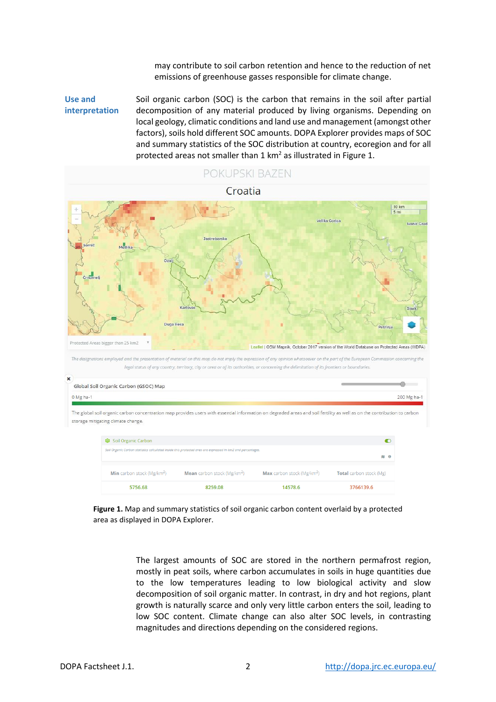may contribute to soil carbon retention and hence to the reduction of net emissions of greenhouse gasses responsible for climate change.

**Use and interpretation** Soil organic carbon (SOC) is the carbon that remains in the soil after partial decomposition of any material produced by living organisms. Depending on local geology, climatic conditions and land use and management (amongst other factors), soils hold different SOC amounts. DOPA Explorer provides maps of SOC and summary statistics of the SOC distribution at country, ecoregion and for all protected areas not smaller than 1  $km<sup>2</sup>$  as illustrated in Figure 1.



**Figure 1.** Map and summary statistics of soil organic carbon content overlaid by a protected area as displayed in DOPA Explorer.

> The largest amounts of SOC are stored in the northern permafrost region, mostly in peat soils, where carbon accumulates in soils in huge quantities due to the low temperatures leading to low biological activity and slow decomposition of soil organic matter. In contrast, in dry and hot regions, plant growth is naturally scarce and only very little carbon enters the soil, leading to low SOC content. Climate change can also alter SOC levels, in contrasting magnitudes and directions depending on the considered regions.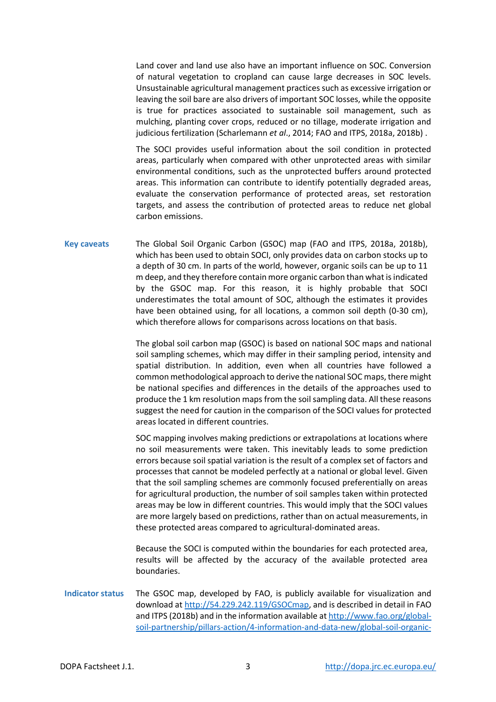Land cover and land use also have an important influence on SOC. Conversion of natural vegetation to cropland can cause large decreases in SOC levels. Unsustainable agricultural management practices such as excessive irrigation or leaving the soil bare are also drivers of important SOC losses, while the opposite is true for practices associated to sustainable soil management, such as mulching, planting cover crops, reduced or no tillage, moderate irrigation and judicious fertilization (Scharlemann *et al*., 2014; FAO and ITPS, 2018a, 2018b) .

The SOCI provides useful information about the soil condition in protected areas, particularly when compared with other unprotected areas with similar environmental conditions, such as the unprotected buffers around protected areas. This information can contribute to identify potentially degraded areas, evaluate the conservation performance of protected areas, set restoration targets, and assess the contribution of protected areas to reduce net global carbon emissions.

**Key caveats** The Global Soil Organic Carbon (GSOC) map (FAO and ITPS, 2018a, 2018b), which has been used to obtain SOCI, only provides data on carbon stocks up to a depth of 30 cm. In parts of the world, however, organic soils can be up to 11 m deep, and they therefore contain more organic carbon than what is indicated by the GSOC map. For this reason, it is highly probable that SOCI underestimates the total amount of SOC, although the estimates it provides have been obtained using, for all locations, a common soil depth (0-30 cm), which therefore allows for comparisons across locations on that basis.

> The global soil carbon map (GSOC) is based on national SOC maps and national soil sampling schemes, which may differ in their sampling period, intensity and spatial distribution. In addition, even when all countries have followed a common methodological approach to derive the national SOC maps, there might be national specifies and differences in the details of the approaches used to produce the 1 km resolution maps from the soil sampling data. All these reasons suggest the need for caution in the comparison of the SOCI values for protected areas located in different countries.

SOC mapping involves making predictions or extrapolations at locations where no soil measurements were taken. This inevitably leads to some prediction errors because soil spatial variation is the result of a complex set of factors and processes that cannot be modeled perfectly at a national or global level. Given that the soil sampling schemes are commonly focused preferentially on areas for agricultural production, the number of soil samples taken within protected areas may be low in different countries. This would imply that the SOCI values are more largely based on predictions, rather than on actual measurements, in these protected areas compared to agricultural-dominated areas.

Because the SOCI is computed within the boundaries for each protected area, results will be affected by the accuracy of the available protected area boundaries.

**Indicator status** The GSOC map, developed by FAO, is publicly available for visualization and download at [http://54.229.242.119/GSOCmap,](http://54.229.242.119/GSOCmap) and is described in detail in FAO and ITPS (2018b) and in the information available a[t http://www.fao.org/global](http://www.fao.org/global-soil-partnership/pillars-action/4-information-and-data-new/global-soil-organic-carbon-gsoc-map)[soil-partnership/pillars-action/4-information-and-data-new/global-soil-organic-](http://www.fao.org/global-soil-partnership/pillars-action/4-information-and-data-new/global-soil-organic-carbon-gsoc-map)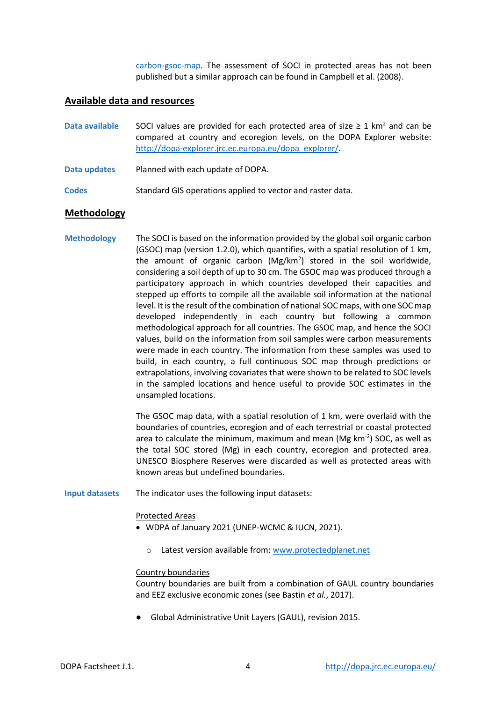[carbon-gsoc-map.](http://www.fao.org/global-soil-partnership/pillars-action/4-information-and-data-new/global-soil-organic-carbon-gsoc-map) The assessment of SOCI in protected areas has not been published but a similar approach can be found in Campbell et al. (2008).

## **Available data and resources**

Data available SOCI values are provided for each protected area of size  $\geq 1$  km<sup>2</sup> and can be compared at country and ecoregion levels, on the DOPA Explorer website: [http://dopa-explorer.jrc.ec.europa.eu/dopa\\_explorer/.](http://dopa-explorer.jrc.ec.europa.eu/dopa_explorer/)

- **Data updates** Planned with each update of DOPA.
- Codes Standard GIS operations applied to vector and raster data.

# **Methodology**

**Methodology** The SOCI is based on the information provided by the global soil organic carbon (GSOC) map (version 1.2.0), which quantifies, with a spatial resolution of 1 km, the amount of organic carbon  $(Mg/km^2)$  stored in the soil worldwide, considering a soil depth of up to 30 cm. The GSOC map was produced through a participatory approach in which countries developed their capacities and stepped up efforts to compile all the available soil information at the national level. It is the result of the combination of national SOC maps, with one SOC map developed independently in each country but following a common methodological approach for all countries. The GSOC map, and hence the SOCI values, build on the information from soil samples were carbon measurements were made in each country. The information from these samples was used to build, in each country, a full continuous SOC map through predictions or extrapolations, involving covariates that were shown to be related to SOC levels in the sampled locations and hence useful to provide SOC estimates in the unsampled locations.

> The GSOC map data, with a spatial resolution of 1 km, were overlaid with the boundaries of countries, ecoregion and of each terrestrial or coastal protected area to calculate the minimum, maximum and mean (Mg  $km^{-2}$ ) SOC, as well as the total SOC stored (Mg) in each country, ecoregion and protected area. UNESCO Biosphere Reserves were discarded as well as protected areas with known areas but undefined boundaries.

**Input datasets** The indicator uses the following input datasets:

## Protected Areas

- WDPA of January 2021 (UNEP-WCMC & IUCN, 2021).
	- o Latest version available from[: www.protectedplanet.net](http://www.protectedplanet.net/)

## Country boundaries

Country boundaries are built from a combination of GAUL country boundaries and EEZ exclusive economic zones (see Bastin *et al.*, 2017).

Global Administrative Unit Layers (GAUL), revision 2015.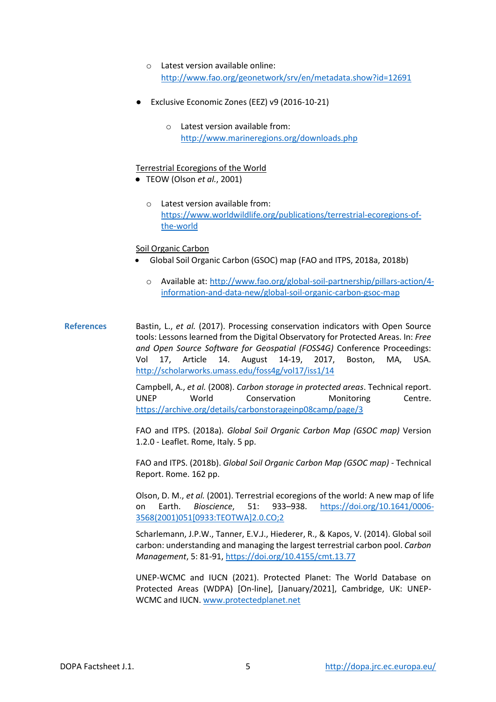- o Latest version available online: <http://www.fao.org/geonetwork/srv/en/metadata.show?id=12691>
- Exclusive Economic Zones (EEZ) v9 (2016-10-21)
	- o Latest version available from: <http://www.marineregions.org/downloads.php>

#### Terrestrial Ecoregions of the World

- TEOW (Olson *et al.*, 2001)
	- o Latest version available from: [https://www.worldwildlife.org/publications/terrestrial-ecoregions-of](https://www.worldwildlife.org/publications/terrestrial-ecoregions-of-the-world)[the-world](https://www.worldwildlife.org/publications/terrestrial-ecoregions-of-the-world)

#### Soil Organic Carbon

- Global Soil Organic Carbon (GSOC) map (FAO and ITPS, 2018a, 2018b)
	- o Available at: [http://www.fao.org/global-soil-partnership/pillars-action/4](http://www.fao.org/global-soil-partnership/pillars-action/4-information-and-data-new/global-soil-organic-carbon-gsoc-map) [information-and-data-new/global-soil-organic-carbon-gsoc-map](http://www.fao.org/global-soil-partnership/pillars-action/4-information-and-data-new/global-soil-organic-carbon-gsoc-map)
- **References** Bastin, L., *et al.* (2017). Processing conservation indicators with Open Source tools: Lessons learned from the Digital Observatory for Protected Areas. In: *Free and Open Source Software for Geospatial (FOSS4G)* Conference Proceedings: Vol 17, Article 14. August 14-19, 2017, Boston, MA, USA. <http://scholarworks.umass.edu/foss4g/vol17/iss1/14>

Campbell, A., *et al.* (2008). *Carbon storage in protected areas*. Technical report. UNEP World Conservation Monitoring Centre. <https://archive.org/details/carbonstorageinp08camp/page/3>

FAO and ITPS. (2018a)*. Global Soil Organic Carbon Map (GSOC map)* Version 1.2.0 - Leaflet. Rome, Italy. 5 pp.

FAO and ITPS. (2018b). *Global Soil Organic Carbon Map (GSOC map)* - Technical Report. Rome. 162 pp.

Olson, D. M., *et al.* (2001). Terrestrial ecoregions of the world: A new map of life on Earth. *Bioscience*, 51: 933–938. [https://doi.org/10.1641/0006-](https://doi.org/10.1641/0006-3568(2001)051%5b0933:TEOTWA%5d2.0.CO;2) [3568\(2001\)051\[0933:TEOTWA\]2.0.CO;2](https://doi.org/10.1641/0006-3568(2001)051%5b0933:TEOTWA%5d2.0.CO;2) 

Scharlemann, J.P.W., Tanner, E.V.J., Hiederer, R., & Kapos, V. (2014). Global soil carbon: understanding and managing the largest terrestrial carbon pool. *Carbon Management*, 5: 81-91, https://doi.org/10.4155/cmt.13.77

UNEP-WCMC and IUCN (2021). Protected Planet: The World Database on Protected Areas (WDPA) [On-line], [January/2021], Cambridge, UK: UNEP-WCMC and IUCN. [www.protectedplanet.net](http://www.protectedplanet.net/)